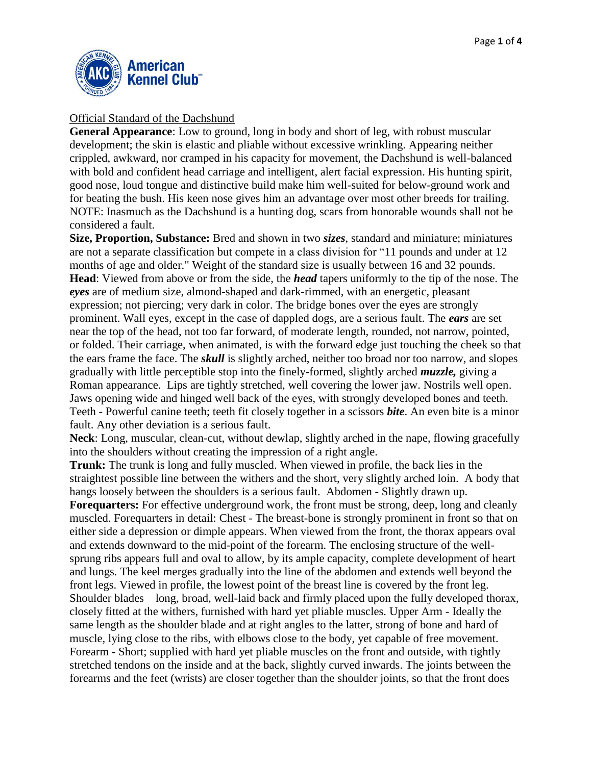

## Official Standard of the Dachshund

**General Appearance**: Low to ground, long in body and short of leg, with robust muscular development; the skin is elastic and pliable without excessive wrinkling. Appearing neither crippled, awkward, nor cramped in his capacity for movement, the Dachshund is well-balanced with bold and confident head carriage and intelligent, alert facial expression. His hunting spirit, good nose, loud tongue and distinctive build make him well-suited for below-ground work and for beating the bush. His keen nose gives him an advantage over most other breeds for trailing. NOTE: Inasmuch as the Dachshund is a hunting dog, scars from honorable wounds shall not be considered a fault.

**Size, Proportion, Substance:** Bred and shown in two *sizes*, standard and miniature; miniatures are not a separate classification but compete in a class division for "11 pounds and under at 12 months of age and older." Weight of the standard size is usually between 16 and 32 pounds. **Head**: Viewed from above or from the side, the *head* tapers uniformly to the tip of the nose. The *eyes* are of medium size, almond-shaped and dark-rimmed, with an energetic, pleasant expression; not piercing; very dark in color. The bridge bones over the eyes are strongly prominent. Wall eyes, except in the case of dappled dogs, are a serious fault. The *ears* are set near the top of the head, not too far forward, of moderate length, rounded, not narrow, pointed, or folded. Their carriage, when animated, is with the forward edge just touching the cheek so that the ears frame the face. The *skull* is slightly arched, neither too broad nor too narrow, and slopes gradually with little perceptible stop into the finely-formed, slightly arched *muzzle,* giving a Roman appearance. Lips are tightly stretched, well covering the lower jaw. Nostrils well open. Jaws opening wide and hinged well back of the eyes, with strongly developed bones and teeth. Teeth - Powerful canine teeth; teeth fit closely together in a scissors *bite*. An even bite is a minor fault. Any other deviation is a serious fault.

**Neck**: Long, muscular, clean-cut, without dewlap, slightly arched in the nape, flowing gracefully into the shoulders without creating the impression of a right angle.

**Trunk:** The trunk is long and fully muscled. When viewed in profile, the back lies in the straightest possible line between the withers and the short, very slightly arched loin. A body that hangs loosely between the shoulders is a serious fault. Abdomen - Slightly drawn up.

**Forequarters:** For effective underground work, the front must be strong, deep, long and cleanly muscled. Forequarters in detail: Chest - The breast-bone is strongly prominent in front so that on either side a depression or dimple appears. When viewed from the front, the thorax appears oval and extends downward to the mid-point of the forearm. The enclosing structure of the wellsprung ribs appears full and oval to allow, by its ample capacity, complete development of heart and lungs. The keel merges gradually into the line of the abdomen and extends well beyond the front legs. Viewed in profile, the lowest point of the breast line is covered by the front leg. Shoulder blades – long, broad, well-laid back and firmly placed upon the fully developed thorax, closely fitted at the withers, furnished with hard yet pliable muscles. Upper Arm - Ideally the same length as the shoulder blade and at right angles to the latter, strong of bone and hard of muscle, lying close to the ribs, with elbows close to the body, yet capable of free movement. Forearm *-* Short; supplied with hard yet pliable muscles on the front and outside, with tightly stretched tendons on the inside and at the back, slightly curved inwards. The joints between the forearms and the feet (wrists) are closer together than the shoulder joints, so that the front does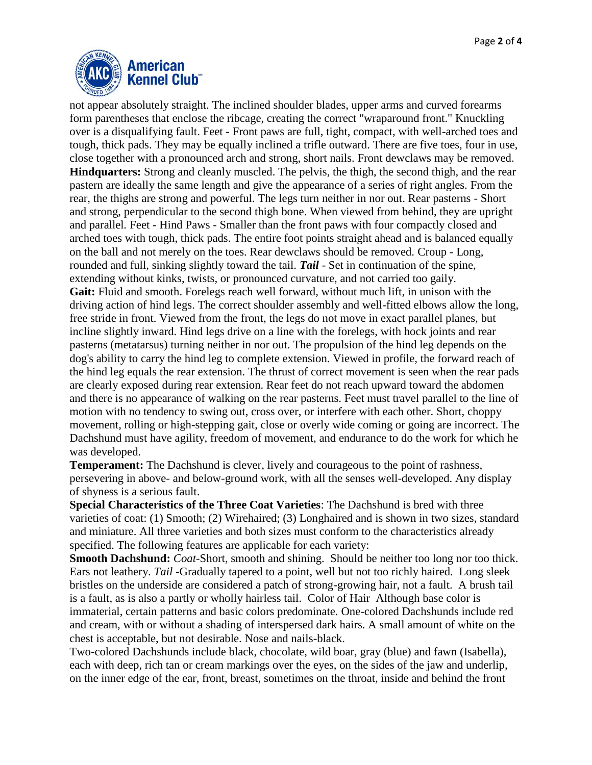

not appear absolutely straight. The inclined shoulder blades, upper arms and curved forearms form parentheses that enclose the ribcage, creating the correct "wraparound front." Knuckling over is a disqualifying fault. Feet *-* Front paws are full, tight, compact, with well-arched toes and tough, thick pads. They may be equally inclined a trifle outward. There are five toes, four in use, close together with a pronounced arch and strong, short nails. Front dewclaws may be removed. **Hindquarters:** Strong and cleanly muscled. The pelvis, the thigh, the second thigh, and the rear pastern are ideally the same length and give the appearance of a series of right angles. From the rear, the thighs are strong and powerful. The legs turn neither in nor out. Rear pasterns - Short and strong, perpendicular to the second thigh bone. When viewed from behind, they are upright and parallel*.* Feet - Hind Paws - Smaller than the front paws with four compactly closed and arched toes with tough, thick pads. The entire foot points straight ahead and is balanced equally on the ball and not merely on the toes. Rear dewclaws should be removed. Croup - Long, rounded and full, sinking slightly toward the tail. *Tail* - Set in continuation of the spine, extending without kinks, twists, or pronounced curvature, and not carried too gaily. Gait: Fluid and smooth. Forelegs reach well forward, without much lift, in unison with the driving action of hind legs. The correct shoulder assembly and well-fitted elbows allow the long, free stride in front. Viewed from the front, the legs do not move in exact parallel planes, but incline slightly inward. Hind legs drive on a line with the forelegs, with hock joints and rear pasterns (metatarsus) turning neither in nor out. The propulsion of the hind leg depends on the dog's ability to carry the hind leg to complete extension. Viewed in profile, the forward reach of the hind leg equals the rear extension. The thrust of correct movement is seen when the rear pads are clearly exposed during rear extension. Rear feet do not reach upward toward the abdomen and there is no appearance of walking on the rear pasterns. Feet must travel parallel to the line of motion with no tendency to swing out, cross over, or interfere with each other. Short, choppy movement, rolling or high-stepping gait, close or overly wide coming or going are incorrect. The Dachshund must have agility, freedom of movement, and endurance to do the work for which he was developed.

**Temperament:** The Dachshund is clever, lively and courageous to the point of rashness, persevering in above- and below-ground work, with all the senses well-developed. Any display of shyness is a serious fault.

**Special Characteristics of the Three Coat Varieties**: The Dachshund is bred with three varieties of coat: (1) Smooth; (2) Wirehaired; (3) Longhaired and is shown in two sizes, standard and miniature. All three varieties and both sizes must conform to the characteristics already specified. The following features are applicable for each variety:

**Smooth Dachshund:** *Coat*-Short, smooth and shining. Should be neither too long nor too thick. Ears not leathery. *Tail -*Gradually tapered to a point, well but not too richly haired. Long sleek bristles on the underside are considered a patch of strong-growing hair, not a fault. A brush tail is a fault, as is also a partly or wholly hairless tail. Color of Hair–Although base color is immaterial, certain patterns and basic colors predominate. One-colored Dachshunds include red and cream, with or without a shading of interspersed dark hairs. A small amount of white on the chest is acceptable, but not desirable. Nose and nails-black.

Two-colored Dachshunds include black, chocolate, wild boar, gray (blue) and fawn (Isabella), each with deep, rich tan or cream markings over the eyes, on the sides of the jaw and underlip, on the inner edge of the ear, front, breast, sometimes on the throat, inside and behind the front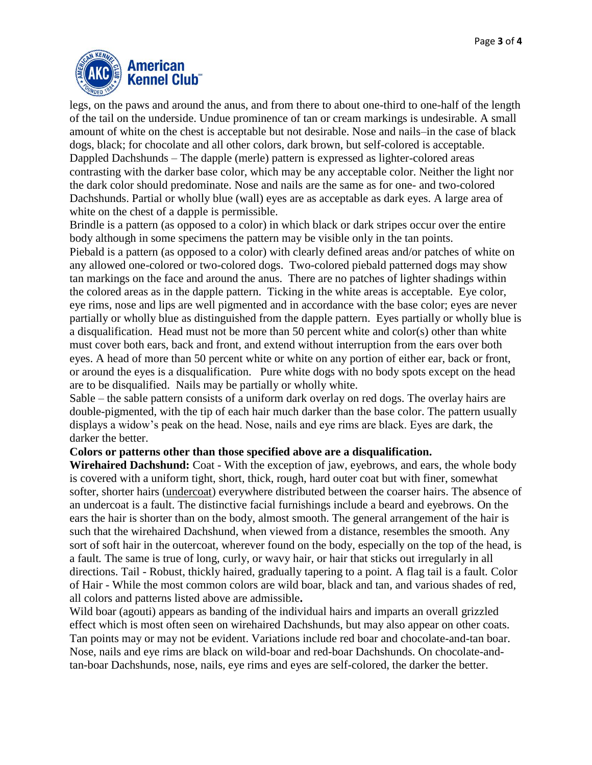

legs, on the paws and around the anus, and from there to about one-third to one-half of the length of the tail on the underside. Undue prominence of tan or cream markings is undesirable. A small amount of white on the chest is acceptable but not desirable. Nose and nails–in the case of black dogs, black; for chocolate and all other colors, dark brown, but self-colored is acceptable. Dappled Dachshunds – The dapple (merle) pattern is expressed as lighter-colored areas contrasting with the darker base color, which may be any acceptable color. Neither the light nor the dark color should predominate. Nose and nails are the same as for one- and two-colored Dachshunds. Partial or wholly blue (wall) eyes are as acceptable as dark eyes. A large area of white on the chest of a dapple is permissible.

Brindle is a pattern (as opposed to a color) in which black or dark stripes occur over the entire body although in some specimens the pattern may be visible only in the tan points.

Piebald is a pattern (as opposed to a color) with clearly defined areas and/or patches of white on any allowed one-colored or two-colored dogs. Two-colored piebald patterned dogs may show tan markings on the face and around the anus. There are no patches of lighter shadings within the colored areas as in the dapple pattern. Ticking in the white areas is acceptable. Eye color, eye rims, nose and lips are well pigmented and in accordance with the base color; eyes are never partially or wholly blue as distinguished from the dapple pattern. Eyes partially or wholly blue is a disqualification. Head must not be more than 50 percent white and color(s) other than white must cover both ears, back and front, and extend without interruption from the ears over both eyes. A head of more than 50 percent white or white on any portion of either ear, back or front, or around the eyes is a disqualification. Pure white dogs with no body spots except on the head are to be disqualified. Nails may be partially or wholly white.

Sable – the sable pattern consists of a uniform dark overlay on red dogs. The overlay hairs are double-pigmented, with the tip of each hair much darker than the base color. The pattern usually displays a widow's peak on the head. Nose, nails and eye rims are black. Eyes are dark, the darker the better.

## **Colors or patterns other than those specified above are a disqualification.**

**Wirehaired Dachshund:** Coat - With the exception of jaw, eyebrows, and ears, the whole body is covered with a uniform tight, short, thick, rough, hard outer coat but with finer, somewhat softer, shorter hairs (undercoat) everywhere distributed between the coarser hairs. The absence of an undercoat is a fault. The distinctive facial furnishings include a beard and eyebrows. On the ears the hair is shorter than on the body, almost smooth. The general arrangement of the hair is such that the wirehaired Dachshund, when viewed from a distance, resembles the smooth*.* Any sort of soft hair in the outercoat, wherever found on the body, especially on the top of the head, is a fault*.* The same is true of long, curly, or wavy hair, or hair that sticks out irregularly in all directions. Tail - Robust, thickly haired, gradually tapering to a point. A flag tail is a fault*.* Color of Hair - While the most common colors are wild boar, black and tan, and various shades of red, all colors and patterns listed above are admissible**.**

Wild boar (agouti) appears as banding of the individual hairs and imparts an overall grizzled effect which is most often seen on wirehaired Dachshunds, but may also appear on other coats. Tan points may or may not be evident. Variations include red boar and chocolate-and-tan boar. Nose, nails and eye rims are black on wild-boar and red-boar Dachshunds. On chocolate-andtan-boar Dachshunds, nose, nails, eye rims and eyes are self-colored, the darker the better.